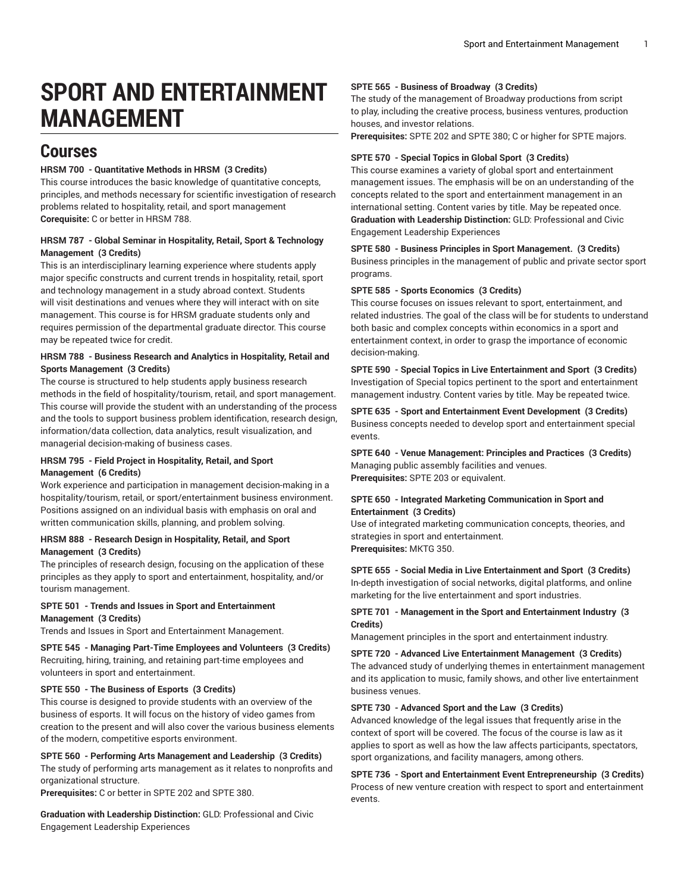# **SPORT AND ENTERTAINMENT MANAGEMENT**

# **Courses**

# **HRSM 700 - Quantitative Methods in HRSM (3 Credits)**

This course introduces the basic knowledge of quantitative concepts, principles, and methods necessary for scientific investigation of research problems related to hospitality, retail, and sport management **Corequisite:** C or better in HRSM 788.

# **HRSM 787 - Global Seminar in Hospitality, Retail, Sport & Technology Management (3 Credits)**

This is an interdisciplinary learning experience where students apply major specific constructs and current trends in hospitality, retail, sport and technology management in a study abroad context. Students will visit destinations and venues where they will interact with on site management. This course is for HRSM graduate students only and requires permission of the departmental graduate director. This course may be repeated twice for credit.

#### **HRSM 788 - Business Research and Analytics in Hospitality, Retail and Sports Management (3 Credits)**

The course is structured to help students apply business research methods in the field of hospitality/tourism, retail, and sport management. This course will provide the student with an understanding of the process and the tools to support business problem identification, research design, information/data collection, data analytics, result visualization, and managerial decision-making of business cases.

#### **HRSM 795 - Field Project in Hospitality, Retail, and Sport Management (6 Credits)**

Work experience and participation in management decision-making in a hospitality/tourism, retail, or sport/entertainment business environment. Positions assigned on an individual basis with emphasis on oral and written communication skills, planning, and problem solving.

### **HRSM 888 - Research Design in Hospitality, Retail, and Sport Management (3 Credits)**

The principles of research design, focusing on the application of these principles as they apply to sport and entertainment, hospitality, and/or tourism management.

# **SPTE 501 - Trends and Issues in Sport and Entertainment**

# **Management (3 Credits)**

Trends and Issues in Sport and Entertainment Management.

**SPTE 545 - Managing Part-Time Employees and Volunteers (3 Credits)** Recruiting, hiring, training, and retaining part-time employees and volunteers in sport and entertainment.

# **SPTE 550 - The Business of Esports (3 Credits)**

This course is designed to provide students with an overview of the business of esports. It will focus on the history of video games from creation to the present and will also cover the various business elements of the modern, competitive esports environment.

#### **SPTE 560 - Performing Arts Management and Leadership (3 Credits)**

The study of performing arts management as it relates to nonprofits and organizational structure.

**Prerequisites:** C or better in SPTE 202 and SPTE 380.

**Graduation with Leadership Distinction:** GLD: Professional and Civic Engagement Leadership Experiences

#### **SPTE 565 - Business of Broadway (3 Credits)**

The study of the management of Broadway productions from script to play, including the creative process, business ventures, production houses, and investor relations.

**Prerequisites:** SPTE 202 and SPTE 380; C or higher for SPTE majors.

#### **SPTE 570 - Special Topics in Global Sport (3 Credits)**

This course examines a variety of global sport and entertainment management issues. The emphasis will be on an understanding of the concepts related to the sport and entertainment management in an international setting. Content varies by title. May be repeated once. **Graduation with Leadership Distinction:** GLD: Professional and Civic Engagement Leadership Experiences

# **SPTE 580 - Business Principles in Sport Management. (3 Credits)**

Business principles in the management of public and private sector sport programs.

#### **SPTE 585 - Sports Economics (3 Credits)**

This course focuses on issues relevant to sport, entertainment, and related industries. The goal of the class will be for students to understand both basic and complex concepts within economics in a sport and entertainment context, in order to grasp the importance of economic decision-making.

# **SPTE 590 - Special Topics in Live Entertainment and Sport (3 Credits)** Investigation of Special topics pertinent to the sport and entertainment management industry. Content varies by title. May be repeated twice.

**SPTE 635 - Sport and Entertainment Event Development (3 Credits)** Business concepts needed to develop sport and entertainment special events.

**SPTE 640 - Venue Management: Principles and Practices (3 Credits)** Managing public assembly facilities and venues. **Prerequisites:** SPTE 203 or equivalent.

# **SPTE 650 - Integrated Marketing Communication in Sport and Entertainment (3 Credits)**

Use of integrated marketing communication concepts, theories, and strategies in sport and entertainment. **Prerequisites:** MKTG 350.

**SPTE 655 - Social Media in Live Entertainment and Sport (3 Credits)** In-depth investigation of social networks, digital platforms, and online marketing for the live entertainment and sport industries.

# **SPTE 701 - Management in the Sport and Entertainment Industry (3 Credits)**

Management principles in the sport and entertainment industry.

# **SPTE 720 - Advanced Live Entertainment Management (3 Credits)** The advanced study of underlying themes in entertainment management

and its application to music, family shows, and other live entertainment business venues.

# **SPTE 730 - Advanced Sport and the Law (3 Credits)**

Advanced knowledge of the legal issues that frequently arise in the context of sport will be covered. The focus of the course is law as it applies to sport as well as how the law affects participants, spectators, sport organizations, and facility managers, among others.

**SPTE 736 - Sport and Entertainment Event Entrepreneurship (3 Credits)** Process of new venture creation with respect to sport and entertainment events.